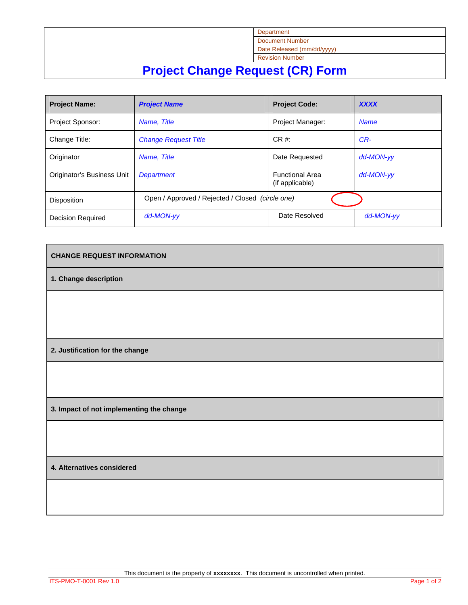|                                      | Department                 |  |  |
|--------------------------------------|----------------------------|--|--|
|                                      | <b>Document Number</b>     |  |  |
|                                      | Date Released (mm/dd/yyyy) |  |  |
|                                      | <b>Revision Number</b>     |  |  |
| Bustant Alexander Bennesot (AB) Famo |                            |  |  |

## **Project Change Request (CR) Form**

| <b>Project Name:</b>       | <b>Project Name</b>                              | <b>Project Code:</b>                      | <b>XXXX</b> |  |
|----------------------------|--------------------------------------------------|-------------------------------------------|-------------|--|
| <b>Project Sponsor:</b>    | Name, Title                                      | <b>Project Manager:</b>                   | <b>Name</b> |  |
| Change Title:              | <b>Change Request Title</b>                      | $CR \#$                                   | CR-         |  |
| Originator                 | Name, Title                                      | Date Requested                            | dd-MON-vv   |  |
| Originator's Business Unit | <b>Department</b>                                | <b>Functional Area</b><br>(if applicable) | dd-MON-vv   |  |
| <b>Disposition</b>         | Open / Approved / Rejected / Closed (circle one) |                                           |             |  |
| <b>Decision Required</b>   | dd-MON-vv                                        | Date Resolved                             | dd-MON-yy   |  |

## **CHANGE REQUEST INFORMATION**

**1. Change description** 

**2. Justification for the change** 

**3. Impact of not implementing the change** 

**4. Alternatives considered** 

This document is the property of **xxxxxxxx**. This document is uncontrolled when printed.